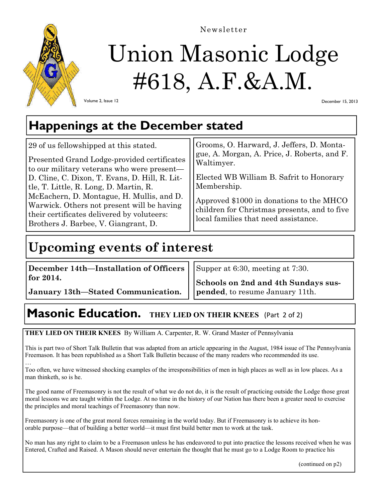

Newsletter

# Union Masonic Lodge #618, A.F.&A.M.

Volume 2, Issue 12

December 15, 2013

### **Happenings at the December stated**

| 29 of us fellowshipped at this stated.<br>Presented Grand Lodge-provided certificates<br>Waltimyer.<br>to our military veterans who were present—<br>D. Cline, C. Dixon, T. Evans, D. Hill, R. Lit-<br>tle, T. Little, R. Long, D. Martin, R.<br>McEachern, D. Montague, H. Mullis, and D.<br>Warwick. Others not present will be having<br>their certificates delivered by voluteers:<br>Brothers J. Barbee, V. Giangrant, D. | Grooms, O. Harward, J. Jeffers, D. Monta-<br>gue, A. Morgan, A. Price, J. Roberts, and F.<br>Elected WB William B. Safrit to Honorary<br>Membership.<br>Approved \$1000 in donations to the MHCO<br>children for Christmas presents, and to five<br>local families that need assistance. |
|--------------------------------------------------------------------------------------------------------------------------------------------------------------------------------------------------------------------------------------------------------------------------------------------------------------------------------------------------------------------------------------------------------------------------------|------------------------------------------------------------------------------------------------------------------------------------------------------------------------------------------------------------------------------------------------------------------------------------------|
|--------------------------------------------------------------------------------------------------------------------------------------------------------------------------------------------------------------------------------------------------------------------------------------------------------------------------------------------------------------------------------------------------------------------------------|------------------------------------------------------------------------------------------------------------------------------------------------------------------------------------------------------------------------------------------------------------------------------------------|

# **Upcoming events of interest**

**December 14th—Installation of Officers for 2014.** 

Supper at 6:30, meeting at 7:30.

**January 13th—Stated Communication. Schools on 2nd and 4th Sundays suspended**, to resume January 11th.

# **Masonic Education.** THEY LIED ON THEIR KNEES (Part 2 of 2)

**THEY LIED ON THEIR KNEES** By William A. Carpenter, R. W. Grand Master of Pennsylvania

This is part two of Short Talk Bulletin that was adapted from an article appearing in the August, 1984 issue of The Pennsylvania Freemason. It has been republished as a Short Talk Bulletin because of the many readers who recommended its use.

Too often, we have witnessed shocking examples of the irresponsibilities of men in high places as well as in low places. As a man thinketh, so is he.

The good name of Freemasonry is not the result of what we do not do, it is the result of practicing outside the Lodge those great moral lessons we are taught within the Lodge. At no time in the history of our Nation has there been a greater need to exercise the principles and moral teachings of Freemasonry than now.

Freemasonry is one of the great moral forces remaining in the world today. But if Freemasonry is to achieve its honorable purpose—that of building a better world—it must first build better men to work at the task.

No man has any right to claim to be a Freemason unless he has endeavored to put into practice the lessons received when he was Entered, Crafted and Raised. A Mason should never entertain the thought that he must go to a Lodge Room to practice his

(continued on p2)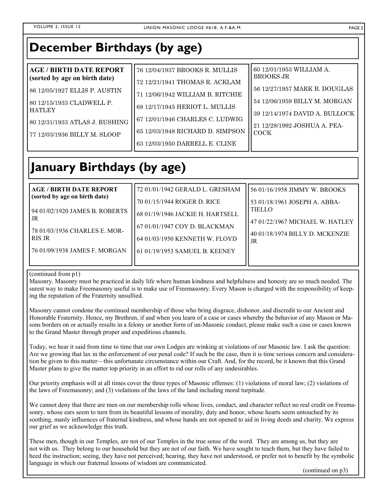### **December Birthdays (by age)**

| <b>AGE / BIRTH DATE REPORT</b> | 76 12/04/1937 BROOKS R. MULLIS   | 60 12/01/1953 WILLIAM A.<br><b>BROOKS JR</b> |
|--------------------------------|----------------------------------|----------------------------------------------|
| (sorted by age on birth date)  | 72 12/21/1941 THOMAS R. ACKLAM   |                                              |
| 86 12/05/1927 ELLIS P. AUSTIN  | 71 12/06/1942 WILLIAM B. RITCHIE | 56 12/27/1957 MARK B. DOUGLAS                |
| l 80 12/15/1933 CLADWELL P.    |                                  | 54 12/06/1959 BILLY M. MORGAN                |
| l HATLEY                       | 68 12/17/1945 HERIOT L. MULLIS   | 39 12/14/1974 DAVID A. BULLOCK               |
| 80 12/31/1933 ATLAS J. RUSHING | 67 12/01/1946 CHARLES C. LUDWIG  |                                              |
|                                | 65 12/03/1948 RICHARD D. SIMPSON | 21 12/28/1992 JOSHUA A. PEA-<br>l COCK-      |
| 77 12/03/1936 BILLY M. SLOOP   |                                  |                                              |
|                                | 63 12/03/1950 DARRELL E. CLINE   |                                              |

# **January Birthdays (by age)**

| <b>AGE/BIRTH DATE REPORT</b>          | 72 01/01/1942 GERALD L. GRESHAM  | 56 01/16/1958 JIMMY W. BROOKS         |
|---------------------------------------|----------------------------------|---------------------------------------|
| (sorted by age on birth date)         | 70 01/15/1944 ROGER D. RICE      | 53 01/18/1961 JOSEPH A. ABBA-         |
| 94 01/02/1920 JAMES B. ROBERTS<br>.JR | 68 01/19/1946 JACKIE H. HARTSELL | <b>TIELLO</b>                         |
| 78 01/03/1936 CHARLES E. MOR-         | 167 01/01/1947 COY D. BLACKMAN   | l 47 01/22/1967 MICHAEL W. HATLEY     |
| RIS JR                                | 64 01/03/1950 KENNETH W. FLOYD   | 40 01/18/1974 BILLY D. MCKENZIE<br>JR |
| 76 01/09/1938 JAMES F. MORGAN         | 61 01/19/1953 SAMUEL B. KEENEY   |                                       |
|                                       |                                  |                                       |

#### (continued from p1)

Masonry. Masonry must be practiced in daily life where human kindness and helpfulness and honesty are so much needed. The surest way to make Freemasonry useful is to make use of Freemasonry. Every Mason is charged with the responsibility of keeping the reputation of the Fraternity unsullied.

Masonry cannot condone the continued membership of those who bring disgrace, dishonor, and discredit to our Ancient and Honorable Fraternity. Hence, my Brethren, if and when you learn of a case or cases whereby the behavior of any Mason or Masons borders on or actually results in a felony or another form of un-Masonic conduct, please make such a case or cases known to the Grand Master through proper and expeditious channels.

Today, we hear it said from time to time that our own Lodges are winking at violations of our Masonic law. I ask the question: Are we growing that lax in the enforcement of our penal code? If such be the case, then it is time serious concern and consideration be given to this matter—this unfortunate circumstance within our Craft. And, for the record, be it known that this Grand Master plans to give the matter top priority in an effort to rid our rolls of any undesirables.

Our priority emphasis will at all times cover the three types of Masonic offenses: (1) violations of moral law; (2) violations of the laws of Freemasonry; and (3) violations of the laws of the land including moral turpitude.

We cannot deny that there are men on our membership rolls whose lives, conduct, and character reflect no real credit on Freemasonry, whose ears seem to turn from its beautiful lessons of morality, duty and honor, whose hearts seem untouched by its soothing, manly influences of fraternal kindness, and whose hands are not opened to aid in living deeds and charity. We express our grief as we acknowledge this truth.

These men, though in our Temples, are not of our Temples in the true sense of the word. They are among us, but they are not with us. They belong to our household but they are not of our faith. We have sought to teach them, but they have failed to heed the instruction; seeing, they have not perceived; hearing, they have not understood, or prefer not to benefit by the symbolic language in which our fraternal lessons of wisdom are communicated.

(continued on p3)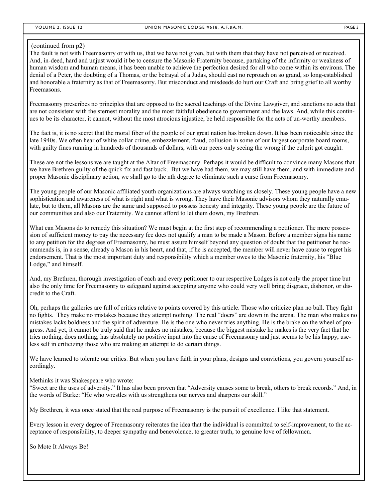#### (continued from p2)

The fault is not with Freemasonry or with us, that we have not given, but with them that they have not perceived or received. And, in-deed, hard and unjust would it be to censure the Masonic Fraternity because, partaking of the infirmity or weakness of human wisdom and human means, it has been unable to achieve the perfection desired for all who come within its environs. The denial of a Peter, the doubting of a Thomas, or the betrayal of a Judas, should cast no reproach on so grand, so long-established and honorable a fraternity as that of Freemasonry. But misconduct and misdeeds do hurt our Craft and bring grief to all worthy Freemasons.

Freemasonry prescribes no principles that are opposed to the sacred teachings of the Divine Lawgiver, and sanctions no acts that are not consistent with the sternest morality and the most faithful obedience to government and the laws. And, while this continues to be its character, it cannot, without the most atrocious injustice, be held responsible for the acts of un-worthy members.

The fact is, it is no secret that the moral fiber of the people of our great nation has broken down. It has been noticeable since the late 1940s. We often hear of white collar crime, embezzlement, fraud, collusion in some of our largest corporate board rooms, with guilty fines running in hundreds of thousands of dollars, with our peers only seeing the wrong if the culprit got caught.

These are not the lessons we are taught at the Altar of Freemasonry. Perhaps it would be difficult to convince many Masons that we have Brethren guilty of the quick fix and fast buck. But we have had them, we may still have them, and with immediate and proper Masonic disciplinary action, we shall go to the nth degree to eliminate such a curse from Freemasonry.

The young people of our Masonic affiliated youth organizations are always watching us closely. These young people have a new sophistication and awareness of what is right and what is wrong. They have their Masonic advisors whom they naturally emulate, but to them, all Masons are the same and supposed to possess honesty and integrity. These young people are the future of our communities and also our Fraternity. We cannot afford to let them down, my Brethren.

What can Masons do to remedy this situation? We must begin at the first step of recommending a petitioner. The mere possession of sufficient money to pay the necessary fee does not qualify a man to be made a Mason. Before a member signs his name to any petition for the degrees of Freemasonry, he must assure himself beyond any question of doubt that the petitioner he recommends is, in a sense, already a Mason in his heart, and that, if he is accepted, the member will never have cause to regret his endorsement. That is the most important duty and responsibility which a member owes to the Masonic fraternity, his "Blue Lodge," and himself.

And, my Brethren, thorough investigation of each and every petitioner to our respective Lodges is not only the proper time but also the only time for Freemasonry to safeguard against accepting anyone who could very well bring disgrace, dishonor, or discredit to the Craft.

Oh, perhaps the galleries are full of critics relative to points covered by this article. Those who criticize plan no ball. They fight no fights. They make no mistakes because they attempt nothing. The real "doers" are down in the arena. The man who makes no mistakes lacks boldness and the spirit of adventure. He is the one who never tries anything. He is the brake on the wheel of progress. And yet, it cannot be truly said that he makes no mistakes, because the biggest mistake he makes is the very fact that he tries nothing, does nothing, has absolutely no positive input into the cause of Freemasonry and just seems to be his happy, useless self in criticizing those who are making an attempt to do certain things.

We have learned to tolerate our critics. But when you have faith in your plans, designs and convictions, you govern yourself accordingly.

Methinks it was Shakespeare who wrote:

"Sweet are the uses of adversity." It has also been proven that "Adversity causes some to break, others to break records." And, in the words of Burke: "He who wrestles with us strengthens our nerves and sharpens our skill."

My Brethren, it was once stated that the real purpose of Freemasonry is the pursuit of excellence. I like that statement.

Every lesson in every degree of Freemasonry reiterates the idea that the individual is committed to self-improvement, to the acceptance of responsibility, to deeper sympathy and benevolence, to greater truth, to genuine love of fellowmen.

So Mote It Always Be!